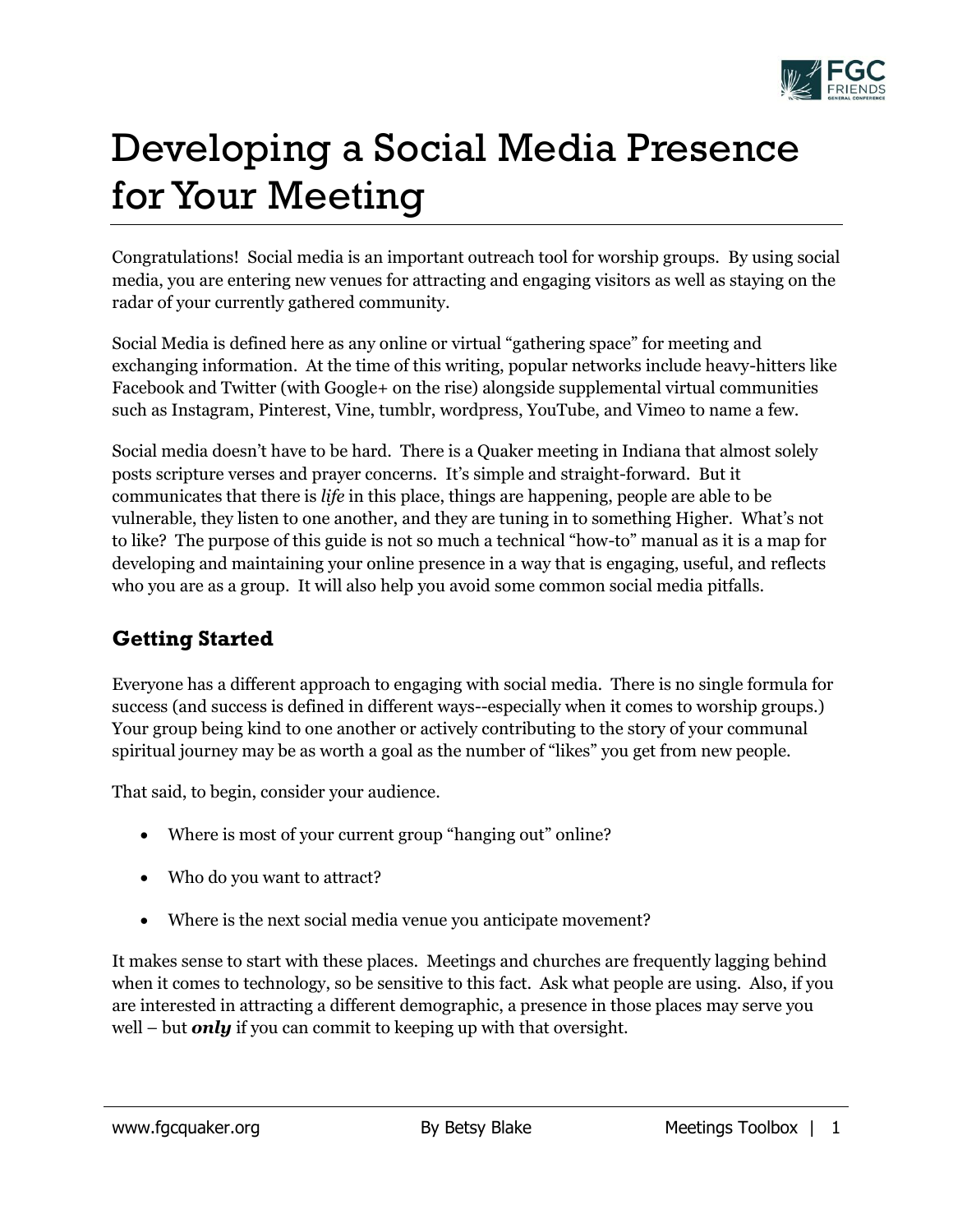

# Developing a Social Media Presence for Your Meeting

Congratulations! Social media is an important outreach tool for worship groups. By using social media, you are entering new venues for attracting and engaging visitors as well as staying on the radar of your currently gathered community.

Social Media is defined here as any online or virtual "gathering space" for meeting and exchanging information. At the time of this writing, popular networks include heavy-hitters like Facebook and Twitter (with Google+ on the rise) alongside supplemental virtual communities such as Instagram, Pinterest, Vine, tumblr, wordpress, YouTube, and Vimeo to name a few.

Social media doesn't have to be hard. There is a Quaker meeting in Indiana that almost solely posts scripture verses and prayer concerns. It's simple and straight-forward. But it communicates that there is *life* in this place, things are happening, people are able to be vulnerable, they listen to one another, and they are tuning in to something Higher. What's not to like? The purpose of this guide is not so much a technical "how-to" manual as it is a map for developing and maintaining your online presence in a way that is engaging, useful, and reflects who you are as a group. It will also help you avoid some common social media pitfalls.

## **Getting Started**

Everyone has a different approach to engaging with social media. There is no single formula for success (and success is defined in different ways--especially when it comes to worship groups.) Your group being kind to one another or actively contributing to the story of your communal spiritual journey may be as worth a goal as the number of "likes" you get from new people.

That said, to begin, consider your audience.

- Where is most of your current group "hanging out" online?
- Who do you want to attract?
- Where is the next social media venue you anticipate movement?

It makes sense to start with these places. Meetings and churches are frequently lagging behind when it comes to technology, so be sensitive to this fact. Ask what people are using. Also, if you are interested in attracting a different demographic, a presence in those places may serve you well – but *only* if you can commit to keeping up with that oversight.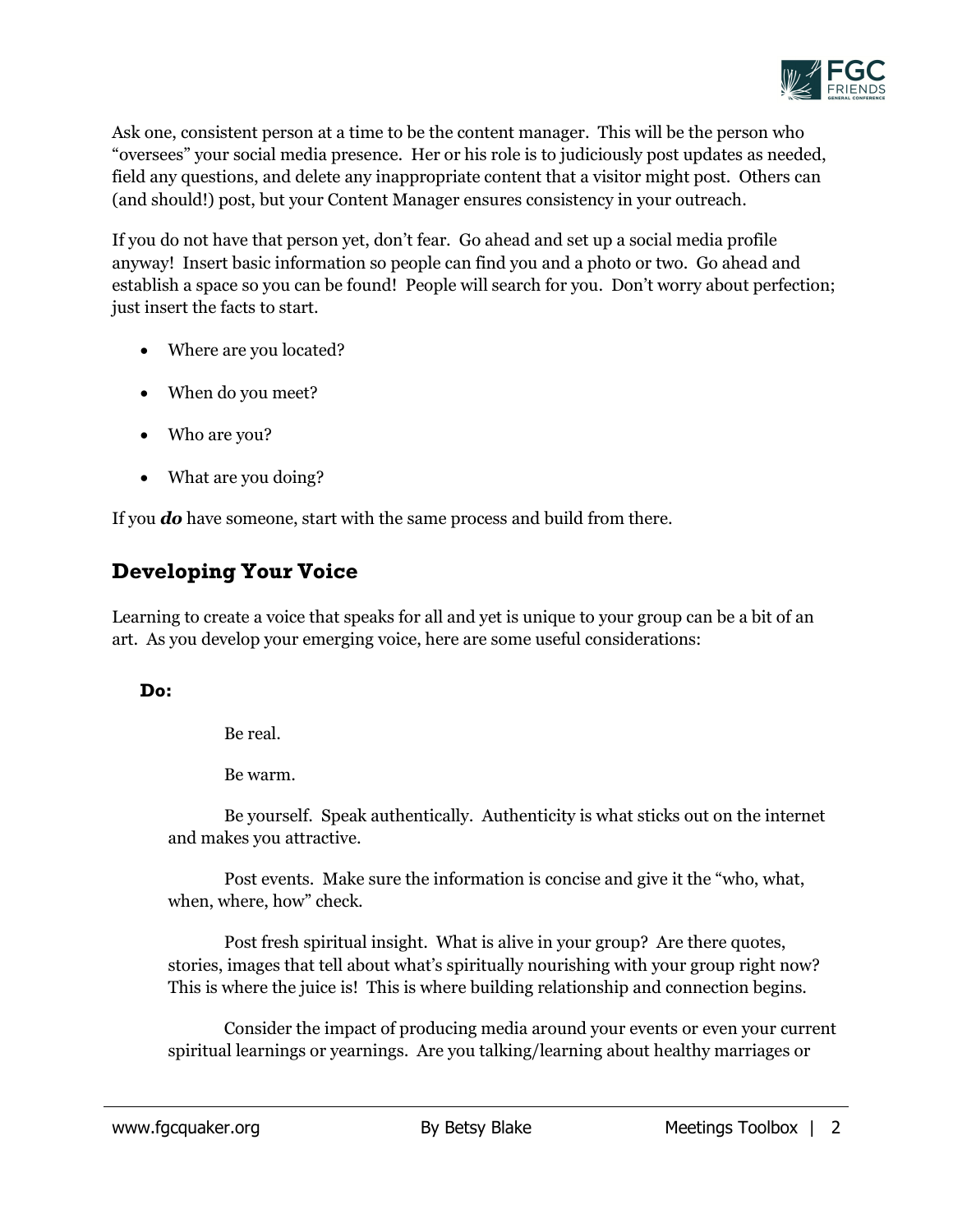

Ask one, consistent person at a time to be the content manager. This will be the person who "oversees" your social media presence. Her or his role is to judiciously post updates as needed, field any questions, and delete any inappropriate content that a visitor might post. Others can (and should!) post, but your Content Manager ensures consistency in your outreach.

If you do not have that person yet, don't fear. Go ahead and set up a social media profile anyway! Insert basic information so people can find you and a photo or two. Go ahead and establish a space so you can be found! People will search for you. Don't worry about perfection; just insert the facts to start.

- Where are you located?
- When do you meet?
- Who are you?
- What are you doing?

If you *do* have someone, start with the same process and build from there.

## **Developing Your Voice**

Learning to create a voice that speaks for all and yet is unique to your group can be a bit of an art. As you develop your emerging voice, here are some useful considerations:

#### **Do:**

Be real.

Be warm.

Be yourself. Speak authentically. Authenticity is what sticks out on the internet and makes you attractive.

Post events. Make sure the information is concise and give it the "who, what, when, where, how" check.

Post fresh spiritual insight. What is alive in your group? Are there quotes, stories, images that tell about what's spiritually nourishing with your group right now? This is where the juice is! This is where building relationship and connection begins.

Consider the impact of producing media around your events or even your current spiritual learnings or yearnings. Are you talking/learning about healthy marriages or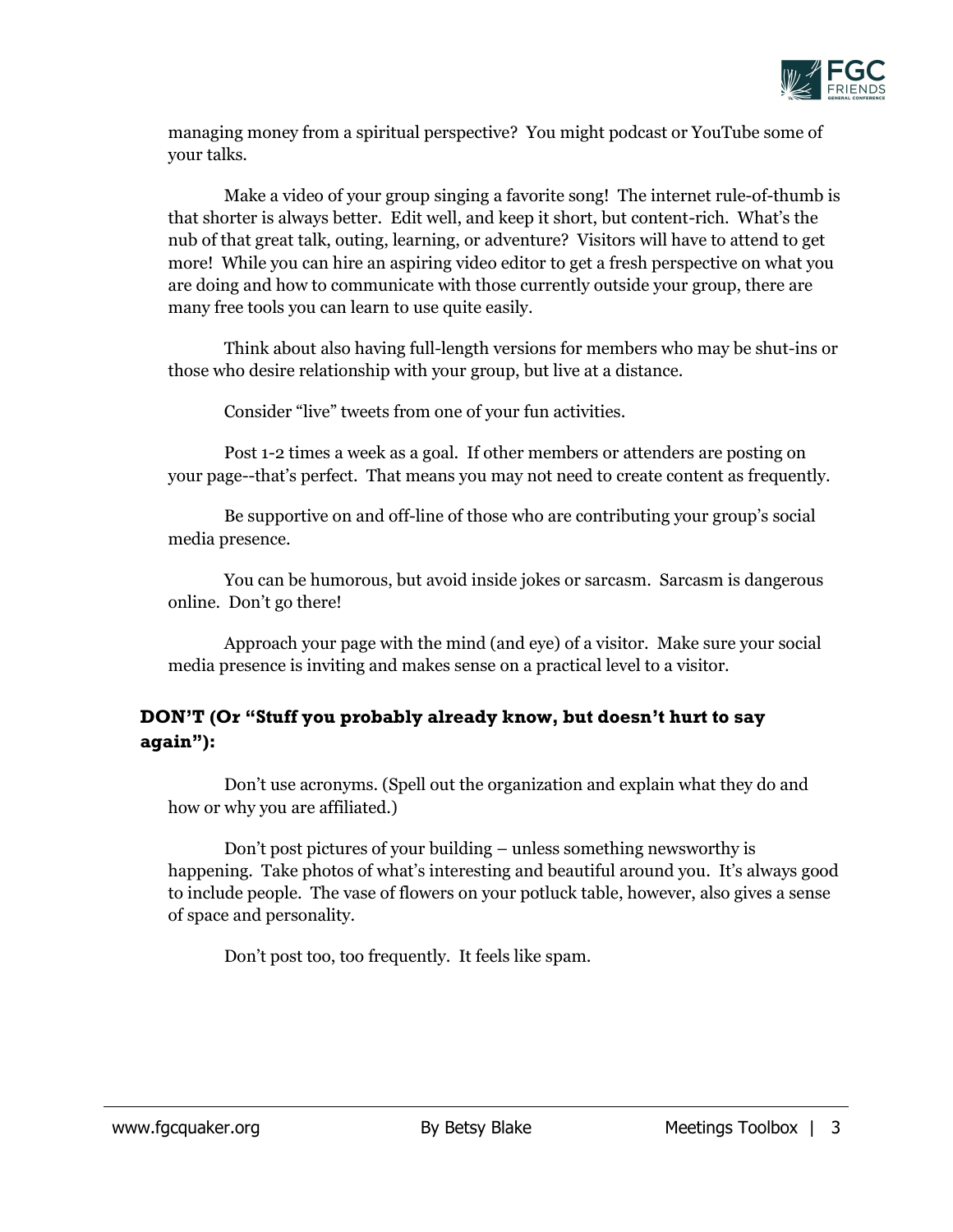

managing money from a spiritual perspective? You might podcast or YouTube some of your talks.

Make a video of your group singing a favorite song! The internet rule-of-thumb is that shorter is always better. Edit well, and keep it short, but content-rich. What's the nub of that great talk, outing, learning, or adventure? Visitors will have to attend to get more! While you can hire an aspiring video editor to get a fresh perspective on what you are doing and how to communicate with those currently outside your group, there are many free tools you can learn to use quite easily.

Think about also having full-length versions for members who may be shut-ins or those who desire relationship with your group, but live at a distance.

Consider "live" tweets from one of your fun activities.

Post 1-2 times a week as a goal. If other members or attenders are posting on your page--that's perfect. That means you may not need to create content as frequently.

Be supportive on and off-line of those who are contributing your group's social media presence.

You can be humorous, but avoid inside jokes or sarcasm. Sarcasm is dangerous online. Don't go there!

Approach your page with the mind (and eye) of a visitor. Make sure your social media presence is inviting and makes sense on a practical level to a visitor.

### **DON'T (Or "Stuff you probably already know, but doesn't hurt to say again"):**

Don't use acronyms. (Spell out the organization and explain what they do and how or why you are affiliated.)

Don't post pictures of your building – unless something newsworthy is happening. Take photos of what's interesting and beautiful around you. It's always good to include people. The vase of flowers on your potluck table, however, also gives a sense of space and personality.

Don't post too, too frequently. It feels like spam.